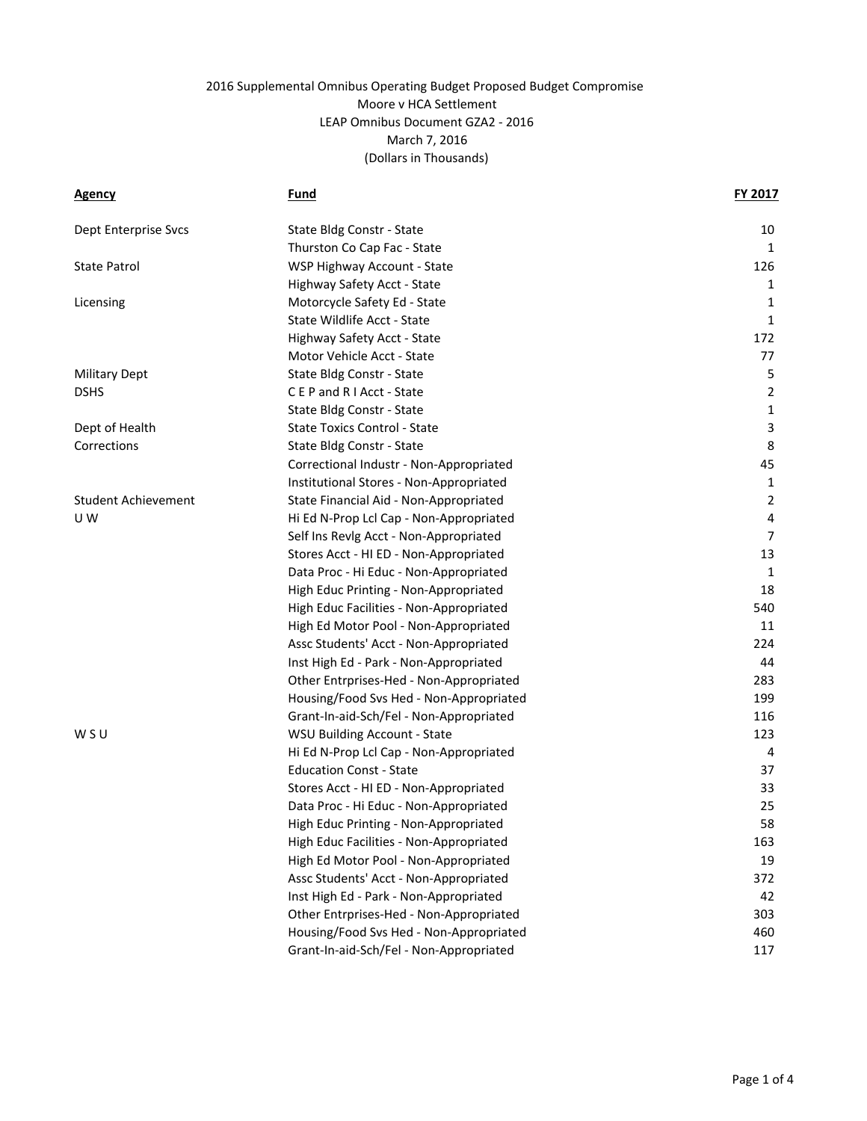| <b>Agency</b>              | Fund                                    | <b>FY 2017</b> |
|----------------------------|-----------------------------------------|----------------|
| Dept Enterprise Svcs       | State Bldg Constr - State               | 10             |
|                            | Thurston Co Cap Fac - State             | 1              |
| <b>State Patrol</b>        | WSP Highway Account - State             | 126            |
|                            | Highway Safety Acct - State             | 1              |
| Licensing                  | Motorcycle Safety Ed - State            | 1              |
|                            | State Wildlife Acct - State             | 1              |
|                            | Highway Safety Acct - State             | 172            |
|                            | Motor Vehicle Acct - State              | 77             |
| <b>Military Dept</b>       | State Bldg Constr - State               | 5              |
| <b>DSHS</b>                | CEP and RIAcct - State                  | $\overline{2}$ |
|                            | State Bldg Constr - State               | $\mathbf{1}$   |
| Dept of Health             | <b>State Toxics Control - State</b>     | 3              |
| Corrections                | State Bldg Constr - State               | 8              |
|                            | Correctional Industr - Non-Appropriated | 45             |
|                            | Institutional Stores - Non-Appropriated | $\mathbf{1}$   |
| <b>Student Achievement</b> | State Financial Aid - Non-Appropriated  | $\overline{2}$ |
| U W                        | Hi Ed N-Prop Lcl Cap - Non-Appropriated | $\pmb{4}$      |
|                            | Self Ins Revlg Acct - Non-Appropriated  | $\overline{7}$ |
|                            | Stores Acct - HI ED - Non-Appropriated  | 13             |
|                            | Data Proc - Hi Educ - Non-Appropriated  | 1              |
|                            | High Educ Printing - Non-Appropriated   | 18             |
|                            | High Educ Facilities - Non-Appropriated | 540            |
|                            | High Ed Motor Pool - Non-Appropriated   | 11             |
|                            | Assc Students' Acct - Non-Appropriated  | 224            |
|                            | Inst High Ed - Park - Non-Appropriated  | 44             |
|                            | Other Entrprises-Hed - Non-Appropriated | 283            |
|                            | Housing/Food Svs Hed - Non-Appropriated | 199            |
|                            | Grant-In-aid-Sch/Fel - Non-Appropriated | 116            |
| WSU                        | <b>WSU Building Account - State</b>     | 123            |
|                            | Hi Ed N-Prop Lcl Cap - Non-Appropriated | 4              |
|                            | <b>Education Const - State</b>          | 37             |
|                            | Stores Acct - HI ED - Non-Appropriated  | 33             |
|                            | Data Proc - Hi Educ - Non-Appropriated  | 25             |
|                            | High Educ Printing - Non-Appropriated   | 58             |
|                            | High Educ Facilities - Non-Appropriated | 163            |
|                            | High Ed Motor Pool - Non-Appropriated   | 19             |
|                            | Assc Students' Acct - Non-Appropriated  | 372            |
|                            | Inst High Ed - Park - Non-Appropriated  | 42             |
|                            | Other Entrprises-Hed - Non-Appropriated | 303            |
|                            | Housing/Food Svs Hed - Non-Appropriated | 460            |
|                            | Grant-In-aid-Sch/Fel - Non-Appropriated | 117            |
|                            |                                         |                |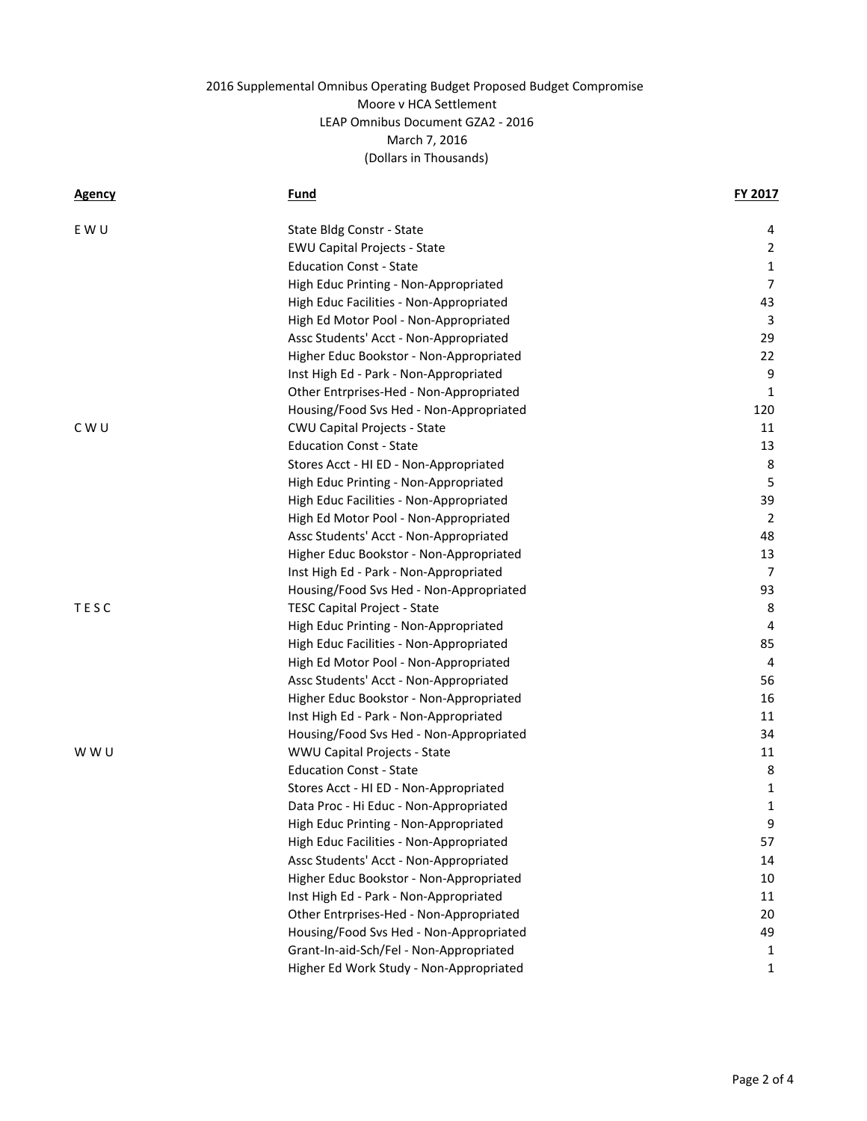| <u>Agency</u> | Fund                                    | FY 2017        |
|---------------|-----------------------------------------|----------------|
| E W U         | State Bldg Constr - State               | 4              |
|               | <b>EWU Capital Projects - State</b>     | $\overline{2}$ |
|               | <b>Education Const - State</b>          | $\mathbf{1}$   |
|               | High Educ Printing - Non-Appropriated   | $\overline{7}$ |
|               | High Educ Facilities - Non-Appropriated | 43             |
|               | High Ed Motor Pool - Non-Appropriated   | 3              |
|               | Assc Students' Acct - Non-Appropriated  | 29             |
|               | Higher Educ Bookstor - Non-Appropriated | 22             |
|               | Inst High Ed - Park - Non-Appropriated  | 9              |
|               | Other Entrprises-Hed - Non-Appropriated | 1              |
|               | Housing/Food Svs Hed - Non-Appropriated | 120            |
| C W U         | <b>CWU Capital Projects - State</b>     | 11             |
|               | <b>Education Const - State</b>          | 13             |
|               | Stores Acct - HI ED - Non-Appropriated  | 8              |
|               | High Educ Printing - Non-Appropriated   | 5              |
|               | High Educ Facilities - Non-Appropriated | 39             |
|               | High Ed Motor Pool - Non-Appropriated   | 2              |
|               | Assc Students' Acct - Non-Appropriated  | 48             |
|               | Higher Educ Bookstor - Non-Appropriated | 13             |
|               | Inst High Ed - Park - Non-Appropriated  | 7              |
|               | Housing/Food Svs Hed - Non-Appropriated | 93             |
| TESC          | <b>TESC Capital Project - State</b>     | 8              |
|               | High Educ Printing - Non-Appropriated   | 4              |
|               | High Educ Facilities - Non-Appropriated | 85             |
|               | High Ed Motor Pool - Non-Appropriated   | 4              |
|               | Assc Students' Acct - Non-Appropriated  | 56             |
|               | Higher Educ Bookstor - Non-Appropriated | 16             |
|               | Inst High Ed - Park - Non-Appropriated  | 11             |
|               | Housing/Food Svs Hed - Non-Appropriated | 34             |
| w w u         | WWU Capital Projects - State            | 11             |
|               | <b>Education Const - State</b>          | 8              |
|               | Stores Acct - HI ED - Non-Appropriated  | $\mathbf{1}$   |
|               | Data Proc - Hi Educ - Non-Appropriated  | 1              |
|               | High Educ Printing - Non-Appropriated   | 9              |
|               | High Educ Facilities - Non-Appropriated | 57             |
|               | Assc Students' Acct - Non-Appropriated  | 14             |
|               | Higher Educ Bookstor - Non-Appropriated | 10             |
|               | Inst High Ed - Park - Non-Appropriated  | 11             |
|               | Other Entrprises-Hed - Non-Appropriated | 20             |
|               | Housing/Food Svs Hed - Non-Appropriated | 49             |
|               | Grant-In-aid-Sch/Fel - Non-Appropriated | 1              |
|               | Higher Ed Work Study - Non-Appropriated | 1              |
|               |                                         |                |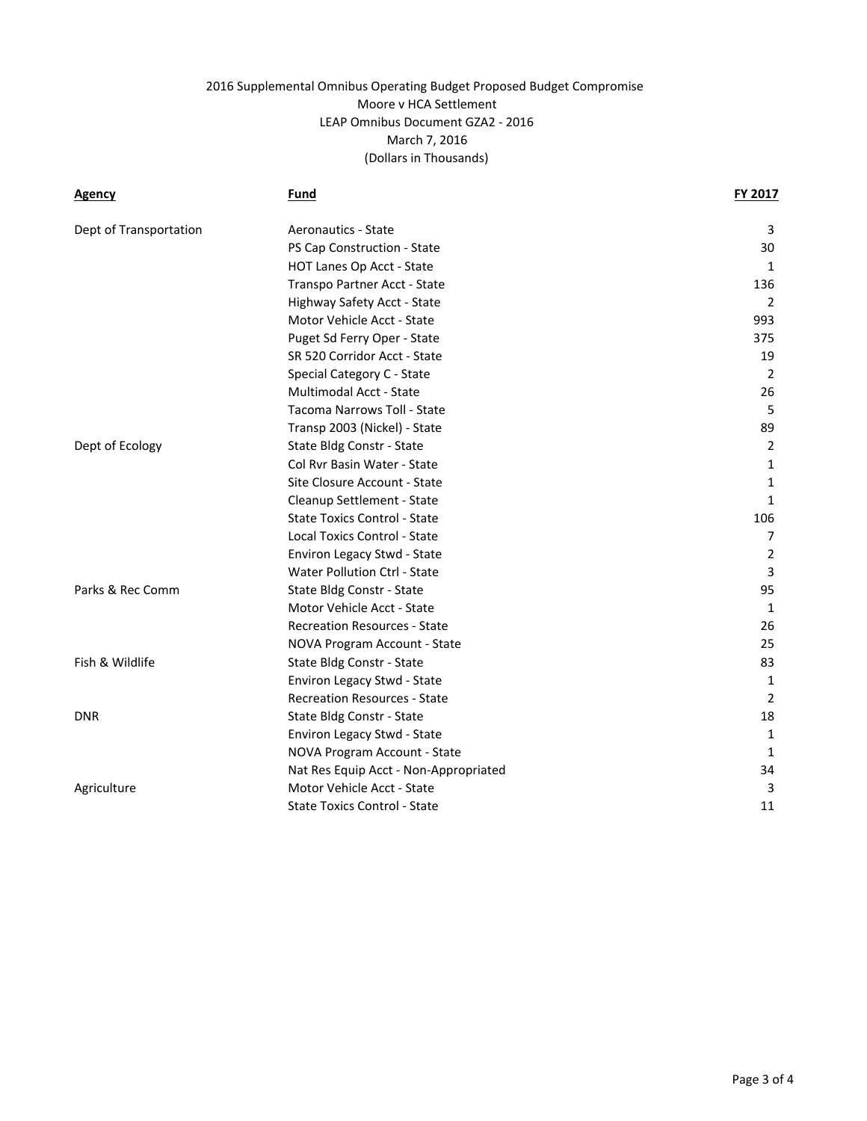| <b>Agency</b>          | Fund                                  | FY 2017        |
|------------------------|---------------------------------------|----------------|
| Dept of Transportation | Aeronautics - State                   | 3              |
|                        | PS Cap Construction - State           | 30             |
|                        | HOT Lanes Op Acct - State             | 1              |
|                        | Transpo Partner Acct - State          | 136            |
|                        | Highway Safety Acct - State           | 2              |
|                        | Motor Vehicle Acct - State            | 993            |
|                        | Puget Sd Ferry Oper - State           | 375            |
|                        | SR 520 Corridor Acct - State          | 19             |
|                        | Special Category C - State            | 2              |
|                        | Multimodal Acct - State               | 26             |
|                        | Tacoma Narrows Toll - State           | 5              |
|                        | Transp 2003 (Nickel) - State          | 89             |
| Dept of Ecology        | State Bldg Constr - State             | 2              |
|                        | Col Rvr Basin Water - State           | 1              |
|                        | Site Closure Account - State          | 1              |
|                        | Cleanup Settlement - State            | 1              |
|                        | State Toxics Control - State          | 106            |
|                        | Local Toxics Control - State          | $\overline{7}$ |
|                        | Environ Legacy Stwd - State           | 2              |
|                        | Water Pollution Ctrl - State          | 3              |
| Parks & Rec Comm       | State Bldg Constr - State             | 95             |
|                        | Motor Vehicle Acct - State            | 1              |
|                        | <b>Recreation Resources - State</b>   | 26             |
|                        | NOVA Program Account - State          | 25             |
| Fish & Wildlife        | State Bldg Constr - State             | 83             |
|                        | <b>Environ Legacy Stwd - State</b>    | 1              |
|                        | <b>Recreation Resources - State</b>   | 2              |
| <b>DNR</b>             | State Bldg Constr - State             | 18             |
|                        | Environ Legacy Stwd - State           | 1              |
|                        | NOVA Program Account - State          | 1              |
|                        | Nat Res Equip Acct - Non-Appropriated | 34             |
| Agriculture            | Motor Vehicle Acct - State            | 3              |
|                        | <b>State Toxics Control - State</b>   | 11             |